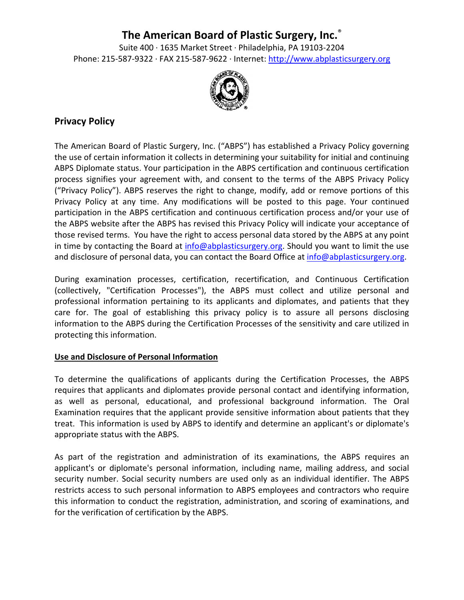# **The American Board of Plastic Surgery, Inc.**®

Suite 400 ∙ 1635 Market Street ∙ Philadelphia, PA 19103‐2204 Phone: 215‐587‐9322 ∙ FAX 215‐587‐9622 ∙ Internet: http://www.abplasticsurgery.org



# **Privacy Policy**

The American Board of Plastic Surgery, Inc. ("ABPS") has established a Privacy Policy governing the use of certain information it collects in determining your suitability for initial and continuing ABPS Diplomate status. Your participation in the ABPS certification and continuous certification process signifies your agreement with, and consent to the terms of the ABPS Privacy Policy ("Privacy Policy"). ABPS reserves the right to change, modify, add or remove portions of this Privacy Policy at any time. Any modifications will be posted to this page. Your continued participation in the ABPS certification and continuous certification process and/or your use of the ABPS website after the ABPS has revised this Privacy Policy will indicate your acceptance of those revised terms. You have the right to access personal data stored by the ABPS at any point in time by contacting the Board at  $info@abb{{\text{a}}}{b}$  basisformial should you want to limit the use and disclosure of personal data, you can contact the Board Office at info@abplasticsurgery.org.

During examination processes, certification, recertification, and Continuous Certification (collectively, "Certification Processes"), the ABPS must collect and utilize personal and professional information pertaining to its applicants and diplomates, and patients that they care for. The goal of establishing this privacy policy is to assure all persons disclosing information to the ABPS during the Certification Processes of the sensitivity and care utilized in protecting this information.

## **Use and Disclosure of Personal Information**

To determine the qualifications of applicants during the Certification Processes, the ABPS requires that applicants and diplomates provide personal contact and identifying information, as well as personal, educational, and professional background information. The Oral Examination requires that the applicant provide sensitive information about patients that they treat. This information is used by ABPS to identify and determine an applicant's or diplomate's appropriate status with the ABPS.

As part of the registration and administration of its examinations, the ABPS requires an applicant's or diplomate's personal information, including name, mailing address, and social security number. Social security numbers are used only as an individual identifier. The ABPS restricts access to such personal information to ABPS employees and contractors who require this information to conduct the registration, administration, and scoring of examinations, and for the verification of certification by the ABPS.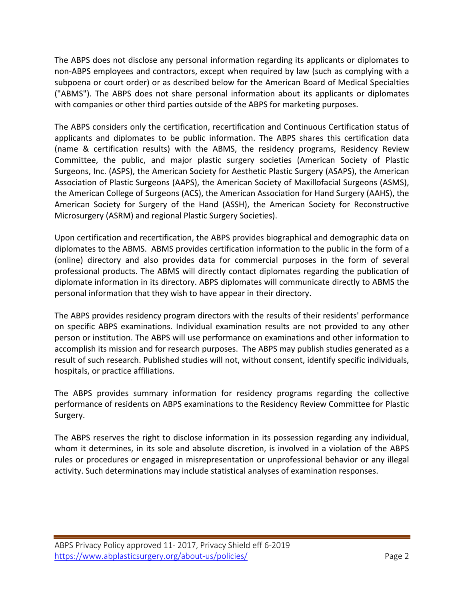The ABPS does not disclose any personal information regarding its applicants or diplomates to non‐ABPS employees and contractors, except when required by law (such as complying with a subpoena or court order) or as described below for the American Board of Medical Specialties ("ABMS"). The ABPS does not share personal information about its applicants or diplomates with companies or other third parties outside of the ABPS for marketing purposes.

The ABPS considers only the certification, recertification and Continuous Certification status of applicants and diplomates to be public information. The ABPS shares this certification data (name & certification results) with the ABMS, the residency programs, Residency Review Committee, the public, and major plastic surgery societies (American Society of Plastic Surgeons, Inc. (ASPS), the American Society for Aesthetic Plastic Surgery (ASAPS), the American Association of Plastic Surgeons (AAPS), the American Society of Maxillofacial Surgeons (ASMS), the American College of Surgeons (ACS), the American Association for Hand Surgery (AAHS), the American Society for Surgery of the Hand (ASSH), the American Society for Reconstructive Microsurgery (ASRM) and regional Plastic Surgery Societies).

Upon certification and recertification, the ABPS provides biographical and demographic data on diplomates to the ABMS. ABMS provides certification information to the public in the form of a (online) directory and also provides data for commercial purposes in the form of several professional products. The ABMS will directly contact diplomates regarding the publication of diplomate information in its directory. ABPS diplomates will communicate directly to ABMS the personal information that they wish to have appear in their directory.

The ABPS provides residency program directors with the results of their residents' performance on specific ABPS examinations. Individual examination results are not provided to any other person or institution. The ABPS will use performance on examinations and other information to accomplish its mission and for research purposes. The ABPS may publish studies generated as a result of such research. Published studies will not, without consent, identify specific individuals, hospitals, or practice affiliations.

The ABPS provides summary information for residency programs regarding the collective performance of residents on ABPS examinations to the Residency Review Committee for Plastic Surgery.

The ABPS reserves the right to disclose information in its possession regarding any individual, whom it determines, in its sole and absolute discretion, is involved in a violation of the ABPS rules or procedures or engaged in misrepresentation or unprofessional behavior or any illegal activity. Such determinations may include statistical analyses of examination responses.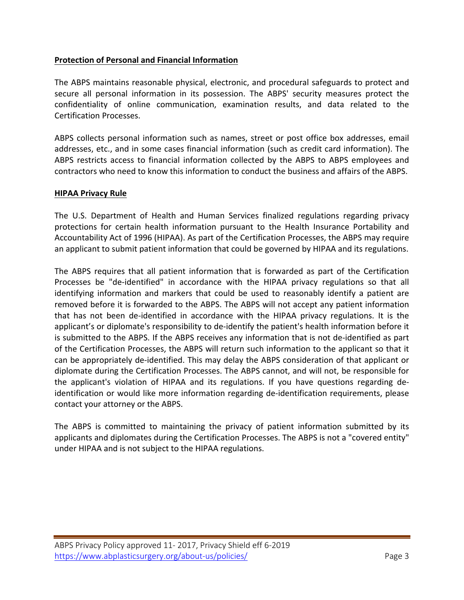## **Protection of Personal and Financial Information**

The ABPS maintains reasonable physical, electronic, and procedural safeguards to protect and secure all personal information in its possession. The ABPS' security measures protect the confidentiality of online communication, examination results, and data related to the Certification Processes.

ABPS collects personal information such as names, street or post office box addresses, email addresses, etc., and in some cases financial information (such as credit card information). The ABPS restricts access to financial information collected by the ABPS to ABPS employees and contractors who need to know this information to conduct the business and affairs of the ABPS.

## **HIPAA Privacy Rule**

The U.S. Department of Health and Human Services finalized regulations regarding privacy protections for certain health information pursuant to the Health Insurance Portability and Accountability Act of 1996 (HIPAA). As part of the Certification Processes, the ABPS may require an applicant to submit patient information that could be governed by HIPAA and its regulations.

The ABPS requires that all patient information that is forwarded as part of the Certification Processes be "de‐identified" in accordance with the HIPAA privacy regulations so that all identifying information and markers that could be used to reasonably identify a patient are removed before it is forwarded to the ABPS. The ABPS will not accept any patient information that has not been de‐identified in accordance with the HIPAA privacy regulations. It is the applicant's or diplomate's responsibility to de‐identify the patient's health information before it is submitted to the ABPS. If the ABPS receives any information that is not de‐identified as part of the Certification Processes, the ABPS will return such information to the applicant so that it can be appropriately de‐identified. This may delay the ABPS consideration of that applicant or diplomate during the Certification Processes. The ABPS cannot, and will not, be responsible for the applicant's violation of HIPAA and its regulations. If you have questions regarding de‐ identification or would like more information regarding de‐identification requirements, please contact your attorney or the ABPS.

The ABPS is committed to maintaining the privacy of patient information submitted by its applicants and diplomates during the Certification Processes. The ABPS is not a "covered entity" under HIPAA and is not subject to the HIPAA regulations.